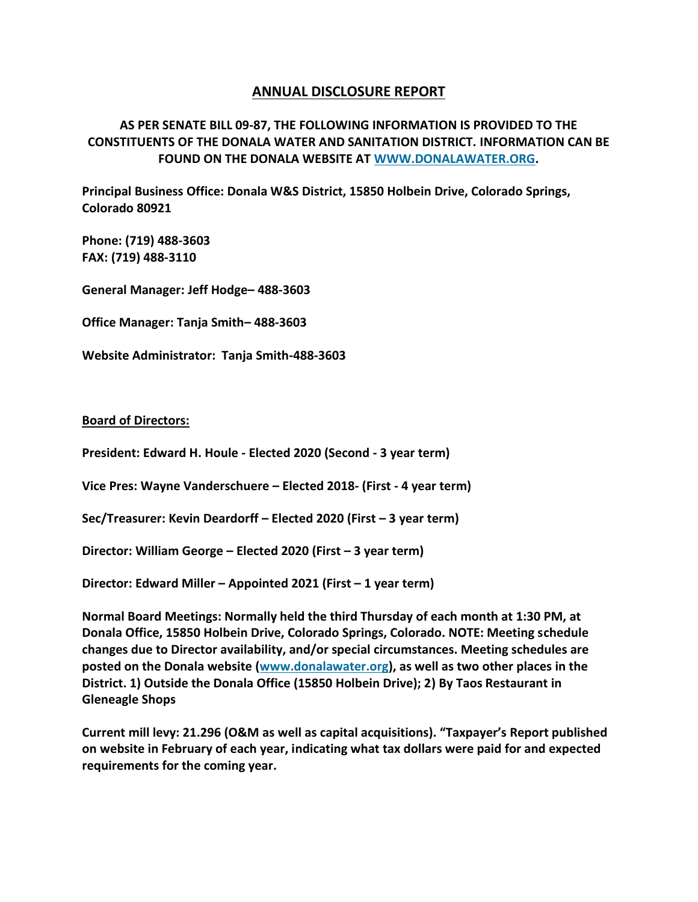## **ANNUAL DISCLOSURE REPORT**

**AS PER SENATE BILL 09-87, THE FOLLOWING INFORMATION IS PROVIDED TO THE CONSTITUENTS OF THE DONALA WATER AND SANITATION DISTRICT. INFORMATION CAN BE FOUND ON THE DONALA WEBSITE AT [WWW.DONALAWATER.ORG.](http://www.donalawater.org/)** 

**Principal Business Office: Donala W&S District, 15850 Holbein Drive, Colorado Springs, Colorado 80921**

**Phone: (719) 488-3603 FAX: (719) 488-3110**

**General Manager: Jeff Hodge– 488-3603**

**Office Manager: Tanja Smith– 488-3603**

**Website Administrator: Tanja Smith-488-3603**

## **Board of Directors:**

**President: Edward H. Houle - Elected 2020 (Second - 3 year term)**

**Vice Pres: Wayne Vanderschuere – Elected 2018- (First - 4 year term)**

**Sec/Treasurer: Kevin Deardorff – Elected 2020 (First – 3 year term)**

**Director: William George – Elected 2020 (First – 3 year term)**

**Director: Edward Miller – Appointed 2021 (First – 1 year term)**

**Normal Board Meetings: Normally held the third Thursday of each month at 1:30 PM, at Donala Office, 15850 Holbein Drive, Colorado Springs, Colorado. NOTE: Meeting schedule changes due to Director availability, and/or special circumstances. Meeting schedules are posted on the Donala website [\(www.donalawater.org\)](http://www.donalawater.org/), as well as two other places in the District. 1) Outside the Donala Office (15850 Holbein Drive); 2) By Taos Restaurant in Gleneagle Shops**

**Current mill levy: 21.296 (O&M as well as capital acquisitions). "Taxpayer's Report published on website in February of each year, indicating what tax dollars were paid for and expected requirements for the coming year.**